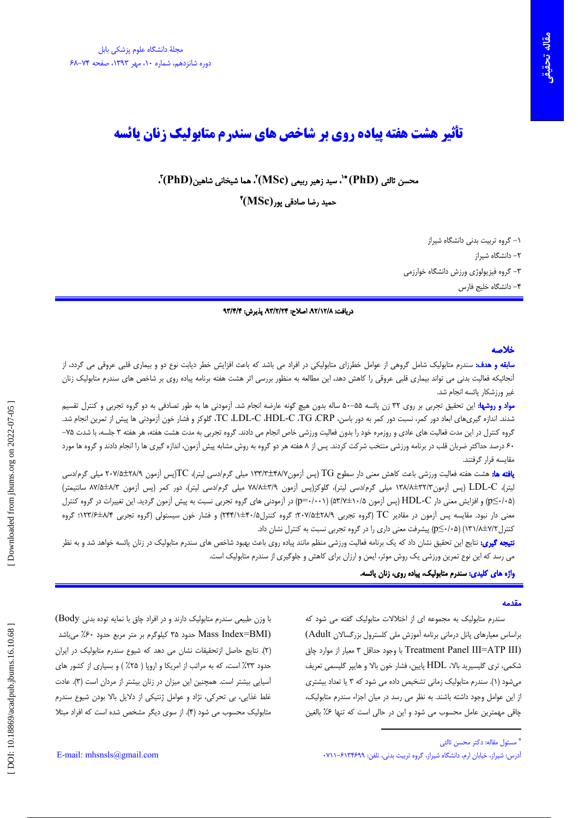# تأثیر هشت هفته پیاده روی بر شاخص های سندرم متابولیک زنان پائسه

محسن ثالثي (PhD) \*`، سيد زهير ربيعي (MSc)،ّ هما شيخاني شاهين(PhD)،ّ

 $\rm ^* (MSc)$  حمید رضا صادقی یور

١- گروه تربيت بدنى دانشگاه شيراز ۲– دانشگاه شیراز ۳- گروه فیزیولوژی ورزش دانشگاه خوارزمی ۴– دانشگاه خلیج فارس

#### دريافت: ٨٢/١٢/٨، اصلاح: ٩٣/٢/٢٣، پذيرش: ٩٣/٣/٣

#### خلاصه

**سابقه و هدف:** سندرم متابولیک شامل گروهی از عوامل خطرزای متابولیکی در افراد می باشد که باعث افزایش خطر دیابت نوع دو و بیماری قلبی عروقی می گردد، از أنجائيكه فعاليت بدني مي تواند بيماري قلبي عروقي را كاهش دهد، اين مطالعه به منظور بررسي اثر هشت هفته برنامه پياده روي بر شاخص هاي سندرم متابوليک زنان غیر ورزشکار پائسه انجام شد.

**مواد و روشها:** این تحقیق تجربی بر روی ۳۲ زن یائسه ۵۵–۵۰ ساله بدون هیچ گونه عارضه انجام شد. آزمودنی ها به طور تصادفی به دو گروه تجربی و کنترل تقسیم شدند. اندازه گیریهای ابعاد دور کمر، نسبت دور کمر به دور باسن، TC ،LDL-C ،HDL-C ،TG ،CRP، گلوکز و فشار خون آزمودنی ها پیش از تمرین انجام شد. گروه کنترل در این مدت فعالیت های عادی و روزمره خود را بدون فعالیت ورزشی خاص انجام می دادند. گروه تجربی به مدت هشت هفته، هر هفته ۳ جلسه، با شدت ۳۵– ۶۰ درصد حداکثر ضربان قلب در برنامه ورزشی منتخب شرکت کردند. پس از ۸ هفته هر دو گروه به روش مشابه پیش آزمون، اندازه گیری ها را انجام دادند و گروه ها مورد مقایسه قرار گرفتند.

**یافته ها:** هشت هفته فعالیت ورزشی باعث کاهش معنی دار سطوح TG (پس آزمون۱۳۳/۳±۳/۳/۳ میلی گرم/دسی لیتر)، TC(پس آزمون ۲۰۷/۵±۲۸۹ میلی گرم/دسی لیتر)، LDL-C (پس آزمون۱۳۲/۳-۱۳۸۸ میلی گرم/دسی لیتر)، گلوکز(پس آزمون ۷۸/۸±۳/۹ میلی گرم/دسی لیتر)، دور کمر (پس آزمون ۸۳/±۸۷/۵ سانتیمتر) (p≤/·۵) و افزایش معنی دار HDL-C (پس آزمون ۵/۰۷±۵۳/۷) (۵۳/۷) در آزمودنی های گروه تجربی نسبت به پیش آزمون گردید. این تغییرات در گروه کنترل معنی دار نبود. مقایسه پس آزمون در مقادیر TC (گروه تجربی ۲۰۷/۵±۲۲۸۹؛ گروه کنترل۲۴۴/۵=(۲۴۴/۱) و فشار خون سیستولی (گروه تجربی ۱۲۳/۶±۸/۱۴)؛ گروه کنترل ١٣١/٨±٧/٢) (٢٤٠/٠٥) پيشرفت معنى دارى را در گروه تجربى نسبت به كنترل نشان داد.

**نتیجه گیری:** نتایج این تحقیق نشان داد که یک برنامه فعالیت ورزشی منظم مانند پیاده روی باعث بهدود شاخص های سندرم متابولیک در زنان یائسه خواهد شد و به نظر می رسد که این نوع تمرین ورزشی یک روش موثر، ایمن و ارزان برای کاهش و جلوگیری از سندرم متابولیک است.

## واژه های کلیدی: سندرم متابولیک، پیاده روی، زنان یائسه.

### **AAJÕA**

سندرم متابولیک به مجموعه ای از اختلالات متابولیک گفته می شود که براساس معیارهای پانل درمانی برنامه آموزش ملی کلسترول بزرگسالان Adult) (Treatment Panel III=ATP III با وجود حداقل ٣ معيار از موارد چاق شکمی، تری گلیسیرید بالا، HDL یایین، فشار خون بالا و هاییر گلیسمی تعریف می شود (۱). سندرم متابولیک زمانی تشخیص داده می شود که ۳ یا تعداد بیشتری از این عوامل وجود داشته باشند. به نظر می رسد در میان اجزاء سندرم متابولیک، چاقی مهمترین عامل محسوب می شود و این در حالی است که تنها ۶٪ بالغین

با وزن طبیعی سندرم متابولیک دارند و در افراد چاق با نمایه توده بدنی Body) Mass Index=BMI) حدود ۳۵ کیلوگرم بر متر مربع حدود ۶۰٪ می باشد (٢). نتايج حاصل ازتحقيقات نشان مى دهد كه شيوع سندرم متابوليك در ايران حدود ۳۳٪ است، که به مراتب از امریکا و اروپا ( ۲۵٪ ) و بسیاری از کشور های آسیایی بیشتر است. همچنین این میزان در زنان بیشتر از مردان است (۳). عادت غلط غذایی، بی تحرکی، نژاد و عوامل ژنتیکی از دلایل بالا بودن شیوع سندرم متابولیک محسوب می شود (۴). از سوی دیگر مشخص شده است که افراد مبتلا

<sup>&</sup>quot; مسئول مقاله: دكتر محسن ثالثى

آدرس: شیراز، خیابان ارم، دانشگاه شیراز، گروه تربیت بدنی، تلفن: ۶۱۳۴۶۹۹-۰۷۱۱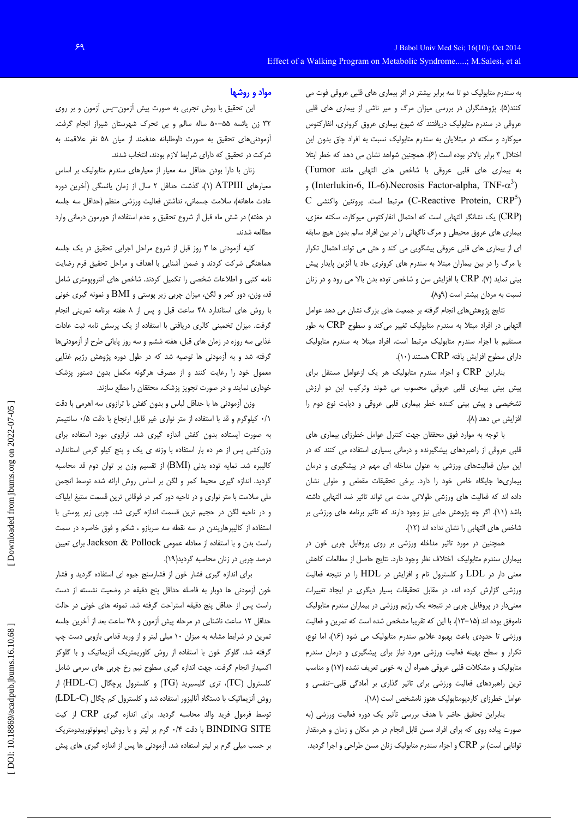به سندرم متابولیک دو تا سه برابر بیشتر در اثر بیماری های قلبی عروقی فوت می کنند(۵). پژوهشگران در بررسی میزان مرگ و میر ناشی از بیماری های قلبی عروقی در سندرم متابولیک دریافتند که شیوع بیماری عروق کرونری، انفارکتوس میوکارد و سکته در مبتلایان به سندرم متابولیک نسبت به افراد چاق بدون این اختلال ٣ برابر بالاتر بوده است (٤). همچنين شواهد نشان مي دهد كه خطر ابتلا به بيمارى هاى قلبى عروقى با شاخص هاى التهابى مانند Tumor) (Interlukin-6, IL-6).Necrosis Factor-alpha, TNF- $\alpha^3$ )  $\rm C$  مرتبط است. پروتئین واکنشی (C-Reactive Protein,  $CRP^5$ ) (CRP) یک نشانگر التھابی است که احتمال انفارکتوس میوکارد، سکته مغزی، بیماری های عروق محیطی و مرگ ناگهانی را در بین افراد سالم بدون هیچ سابقه ای از بیماری های قلبی عروقی پیشگویی می کند و حتی می تواند احتمال تکرار یا مرگ را در بین بیماران مبتلا به سندرم های کرونری حاد یا آنژین پایدار پیش بینی نماید (۷). CRP با افزایش سن و شاخص توده بدن بالا می رود و در زنان نسبت به مردان بیشتر است (۹و۸).

نتایج پژوهشهای انجام گرفته بر جمعیت های بزرگ نشان می دهد عوامل التهابی در افراد مبتلا به سندرم متابولیک تغییر میکند و سطوح CRP به طور مستقیم با اجزاء سندرم متابولیک مرتبط است. افراد مبتلا به سندرم متابولیک  $(1)$ ۰) دارای سطوح افزایش یافته CRP هستند

بنابراین CRP و اجزاء سندرم متابولیک هر یک ازعوامل مستقل برای پیش بینی بیماری قلبی عروقی محسوب می شوند وترکیب این دو ارزش تشخیصی و پیش بینی کننده خطر بیماری قلبی عروقی و دیابت نوع دوم را افزایش می دهد (۸).

با توجه به موارد فوق محققان جهت كنترل عوامل خطرزاى بيمارى هاى قلبی عروقی از راهبردهای پیشگیرنده و درمانی بسیاری استفاده می کنند که در این میان فعالیتهای ورزشی به عنوان مداخله ای مهم در پیشگیری و درمان بیماری ها جایگاه خاص خود را دارد. برخی تحقیقات مقطعی و طولی نشان داده اند كه فعاليت هاى ورزشى طولانى مدت مى تواند تاثير ضد التهابى داشته باشد (١١). اگر چه پژوهش هایی نیز وجود دارند که تاثیر برنامه های ورزشی بر شاخص های التهابی را نشان نداده اند (١٢).

همچنین در مورد تاثیر مداخله ورزشی بر روی پروفایل چربی خون در بيماران سندرم متابوليك اختلاف نظر وجود دارد. نتايج حاصل از مطالعات كاهش معنی دار در LDL و کلسترول تام و افزایش در HDL را در نتیجه فعالیت ورزشی گزارش کرده اند، در مقابل تحقیقات بسیار دیگری در ایجاد تغییرات معنیدار در پروفایل چربی در نتیجه یک رژیم ورزشی در بیماران سندرم متابولیک ناموفق بوده اند (۱۵–۱۳). با این که تقریبا مشخص شده است که تمرین و فعالیت ورزشی تا حدودی باعث بهبود علایم سندرم متابولیک می شود (١۶)، اما نوع، تکرار و سطح بهینه فعالیت ورزشی مورد نیاز برای پیشگیری و درمان سندرم متابولیک و مشکلات قلبی عروقی همراه آن به خوبی تعریف نشده (۱۷) و مناسب ترین راهبردهای فعالیت ورزشی برای تاثیر گذاری بر آمادگی قلبی-تنفسی و عوامل خطرزای کاردیومتابولیک هنوز نامشخص است (۱۸).

بنابراین تحقیق حاضر با هدف بررسی تأثیر یک دوره فعالیت ورزشی (به صورت پیاده روی که برای افراد مسن قابل انجام در هر مکان و زمان و هرمقدار توانایی است) بر CRP و اجزاء سندرم متابولیک زنان مسن طراحی و اجرا گردید.

## مواد و روشها

این تحقیق با روش تجربی به صورت پیش آزمون-پس آزمون و بر روی ۳۲ زن یائسه ۵۵–۵۰ ساله سالم و بی تحرک شهرستان شیراز انجام گرفت. آزمودنی های تحقیق به صورت داوطلبانه هدفمند از میان ۵۸ نفر علاقمند به شرکت در تحقیق که دارای شرایط لازم بودند، انتخاب شدند.

زنان با دارا بودن حداقل سه معیار از معیارهای سندرم متابولیک بر اساس معیارهای ATPIII (۱)، گذشت حداقل ۲ سال از زمان یائسگی (آخرین دوره عادت ماهانه)، سلامت جسمانی، نداشتن فعالیت ورزشی منظم (حداقل سه جلسه در هفته) در شش ماه قبل از شروع تحقیق و عدم استفاده از هورمون درمانی وارد مطالعه شدند.

کلیه آزمودنی ها ۳ روز قبل از شروع مراحل اجرایی تحقیق در یک جلسه هماهنگی شرکت کردند و ضمن آشنایی با اهداف و مراحل تحقیق فرم رضایت نامه کتبی و اطلاعات شخصی را تکمیل کردند. شاخص های آنتروپومتری شامل قد، وزن، دور کمر و لگن، میزان چربی زیر پوستی و BMI و نمونه گیری خونی با روش های استاندارد ۴۸ ساعت قبل و پس از ۸ هفته برنامه تمرینی انجام گرفت. میزان تخمینی کالری دریافتی با استفاده از یک پرسش نامه ثبت عادات غذایی سه روزه در زمان های قبل، هفته ششم و سه روز پایانی طرح از آزمودنیها گرفته شد و به آزمودنی ها توصیه شد که در طول دوره پژوهش رژیم غذایی معمول خود را رعایت کنند و از مصرف هرگونه مکمل بدون دستور پزشک خوداری نمایند و در صورت تجویز پزشک، محققان را مطلع سازند.

وزن آزمودنی ها با حداقل لباس و بدون کفش با ترازوی سه اهرمی با دقت ٠/١ كيلوگرم و قد با استفاده از متر نوارى غير قابل ارتجاع با دقت ٠/٥ سانتيمتر به صورت ایستاده بدون کفش اندازه گیری شد. ترازوی مورد استفاده برای وزن کشی پس از هر ده بار استفاده با وزنه ی یک و پنج کیلو گرمی استاندارد، كاليبره شد. نمايه توده بدني (BMI) از تقسيم وزن بر توان دوم قد محاسبه گردید. اندازه گیری محیط کمر و لگن بر اساس روش ارائه شده توسط انجمن ملی سلامت با متر نواری و در ناحیه دور کمر در فوقانی ترین قسمت ستیغ ایلیاک و در ناحیه لگن در حجیم ترین قسمت اندازه گیری شد. چربی زیر پوستی با استفاده از کالیپرهارپندن در سه نقطه سه سربازو ، شکم و فوق خاصره در سمت راست بدن و با استفاده از معادله عمومی Jackson & Pollock برای تعیین درصد چربی در زنان محاسبه گردید(١٩).

برای اندازه گیری فشار خون از فشارسنج جیوه ای استفاده گردید و فشار خون آزمودنی ها دوبار به فاصله حداقل پنج دقیقه در وضعیت نشسته از دست راست پس از حداقل پنج دقیقه استراحت گرفته شد. نمونه های خونی در حالت حداقل ١٢ ساعت ناشنايي در مرحله پيش آزمون و ۴۸ ساعت بعد از آخرين جلسه تمرین در شرایط مشابه به میزان ۱۰ میلی لیتر و از ورید قدامی بازویی دست چپ گرفته شد. گلوکز خون با استفاده از روش کلوریمتریک آنزیماتیک و با گلوکز اکسیداز انجام گرفت. جهت اندازه گیری سطوح نیم رخ چربی های سرمی شامل (TC) كلسترول (TC)، ترى گليسيريد (TG) و كلسترول پرچگال (HDL-C) از روش آنزیماتیک با دستگاه آنالیزور استفاده شد و کلسترول کم چگال (LDL-C) توسط فرمول فرید والد محاسبه گردید. برای اندازه گیری CRP از کیت BINDING SITE با دقت ۰/۴ گرم بر لیتر و با روش ایمونوتوربیدومتریک بر حسب میلی گرم بر لیتر استفاده شد. آزمودنی ها پس از اندازه گیری های پیش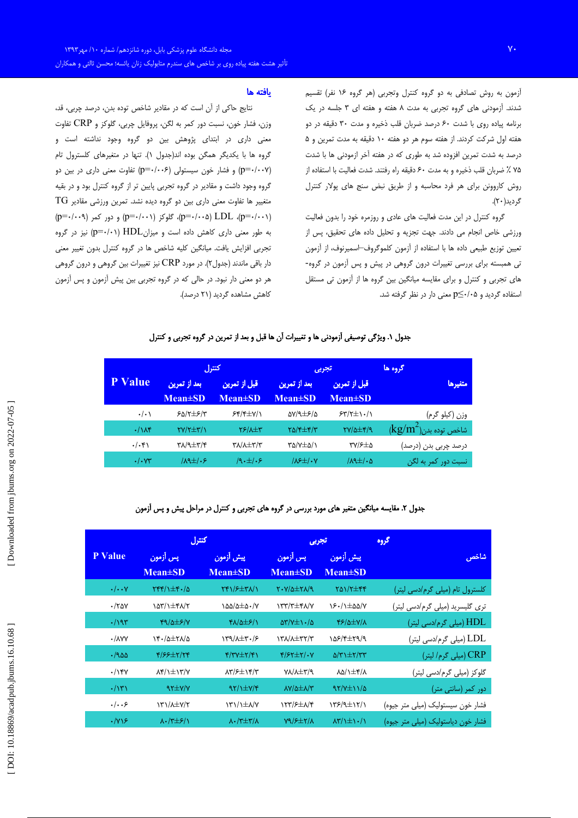آزمون به روش تصادفی به دو گروه کنترل وتجربی (هر گروه ۱۶ نفر) تقسیم شدند. آزمودنی های گروه تجربی به مدت ۸ هفته و هفته ای ۳ جلسه در یک برنامه پیاده روی با شدت ۶۰ درصد ضربان قلب ذخیره و مدت ۳۰ دقیقه در دو هفته اول شركت كردند. از هفته سوم هر دو هفته ١٠ دقيقه به مدت تمرين و ۵ درصد به شدت تمرین افزوده شد به طوری که در هفته آخر ازمودنی ها با شدت ۷۵ ٪ ضربان قلب ذخیره و به مدت ۶۰ دقیقه راه رفتند. شدت فعالیت با استفاده از روش کاروونن برای هر فرد محاسبه و از طریق نبض سنج های پولار کنترل گر دید(۲۰).

گروه کنترل در این مدت فعالیت های عادی و روزمره خود را بدون فعالیت ورزشی خاص انجام می دادند. جهت تجزیه و تحلیل داده های تحقیق، پس از تعيين توزيع طبيعي داده ها با استفاده از آزمون كلموگروف⊣سميرنوف، از آزمون تی همبسته برای بررسی تغییرات درون گروهی در پیش و پس آزمون در گروه-های تجربی و کنترل و برای مقایسه میانگین بین گروه ها از آزمون تی مستقل استفاده گردید و ۵+/∙≥p معنی دار در نظر گرفته شد.

## يافته ها

نتایج حاکی از آن است که در مقادیر شاخص توده بدن، درصد چربی، قد، وزن، فشار خون، نسبت دور كمر به لگن، پروفايل چربي، گلوكز و  $\mathrm{CRP}$  تفاوت معنی داری در ابتدای پژوهش بین دو گروه وجود نداشته است و گروه ها با یکدیگر همگن بوده اند(جدول ۱). تنها در متغیرهای کلسترول تام (p=٠/٠٠٧) و فشار خون سيستولى (p=٠/٠٠۶) تفاوت معنى دارى در بين دو گروه وجود داشت و مقادیر در گروه تجربی پایین تر از گروه کنترل بود و در بقیه  $\rm TG$  متغییر ها تفاوت معنی داری بین دو گروه دیده نشد. تمرین ورزشی مقادیر  $(p=-(\cdot\cdot\cdot)$  (p=۰/۰۰۱) گلوکز (p=۰/۰۰۱) و دور کمر (p=۰/۰۰۹) به طور معنی داری کاهش داده است و میزان $\text{HDL}$  (۰۰۱-(p=۰/۰۱) نیز در گروه تجربی افزایش یافت. میانگین کلیه شاخص ها در گروه کنترل بدون تغییر معنی دار باقی ماندند (جدول۲). در مورد  $\rm CRP$  نیز تغییرات بین گروهی و درون گروهی هر دو معنی دار نبود. در حالی که در گروه تجربی بین پیش آزمون و پس آزمون کاهش مشاهده گردید (۲۱ درصد).

# جدول ١. ويژگي توصيفي آزمودني ها و تغييرات آن ها قبل و بعد از تمرين در گروه تجربي و كنترل

|                                               | گروه ها | تجربي                                          |                               | كنترل                         |                               |                   |  |
|-----------------------------------------------|---------|------------------------------------------------|-------------------------------|-------------------------------|-------------------------------|-------------------|--|
| متغيرها                                       |         | قبل از تمرین<br>$Mean \pm SD$                  | بعد از تمرین<br>$Mean \pm SD$ | قبل از تمرین<br>$Mean \pm SD$ | بعد از تمرین<br>$Mean \pm SD$ | <b>P</b> Value    |  |
| وزن (کیلو گرم)                                |         | $54/7 \pm 1.1$                                 | $\Delta V/9 \pm 5/2$          | $55/5 \pm V/1$                | $50/7 \pm 5/7$                | $\cdot/\cdot$     |  |
| $\langle \text{kg/m}^2 \rangle$ شاخص توده بدن |         | $\frac{Y}{4}$                                  | $Y\Delta/\sqrt{2}$            | $Y$ ۶/۸ $\pm$ ۳               | $\gamma$                      | $\cdot/\lambda$ ۴ |  |
| درصد چربی بدن (درصد)                          |         | $\mathsf{r}\mathsf{v}/\mathsf{F}\pm\mathsf{a}$ | ۳۵/۷±۵/۱                      | <b>TA/A±T/T</b>               | <b>٣٨/٩±٣/۴</b>               | $\cdot/\cdot$ ۴۱  |  |
| نسبت دور کمر به لگن                           |         | $\lambda$ 9 $\pm$ / $\cdot$ ۵                  | $105\pm1.5$                   | $9.1 + 9$                     | $\lambda$ $\pm$ / $\cdot$ ۶   | $\cdot/\cdot$ YY  |  |

# جدول ۲. مقایسه میانگین متغیر های مورد بررسی در گروه های تجربی و کنترل در مراحل پیش و پس آزمون

|  | كتترل                            |                                        |                                                         |                                  |                                                          | تجربي                                   | گروه |
|--|----------------------------------|----------------------------------------|---------------------------------------------------------|----------------------------------|----------------------------------------------------------|-----------------------------------------|------|
|  | <b>P</b> Value                   | پس أزمون<br>$Mean \pm SD$              | پیش آزمون<br>$Mean \pm SD$                              | پس أزمون<br>$Mean \pm SD$        | پیش آزمون<br>$Mean \pm SD$                               | شاخص                                    |      |
|  |                                  |                                        |                                                         |                                  |                                                          |                                         |      |
|  | $\cdot/\cdot\cdot$ Y             | $\gamma$                               | $Yf1/F\pm r\lambda/1$                                   | $Y - Y/\Delta \pm Y/\Delta$      | $Y\Delta Y/\Upsilon \pm \Upsilon \Upsilon$               | کلسترول تام (میل <i>ی</i> گرم/دسی لیتر) |      |
|  | ۰/۲۵۷                            | ۱۵۳/۱±۴۸/۲                             | $\lambda \Delta \Delta / \Delta \pm \Delta$ $\cdot$ /Y  | $\gamma$                         | 18.11 = 0.0/Y                                            | تری گلیسرید (میلی گرم/دسی لیتر)         |      |
|  | $\cdot$ /195                     | $Y9/\Delta EY/Y$                       | <b>۴۸/۵</b> ±۶/۱                                        | $\Delta Y/Y \pm 1.4$             | $\frac{8}{2}$                                            | HDL (میلی گرم/دسی لیتر)                 |      |
|  | $\cdot$ / $\wedge$ YY            | ۱۴۰/۵±۲۸/۵                             | $\gamma$ / $\gamma$                                     | Y'Y'A'X''T'Y'                    | 108/4±29/9                                               | LDL (میلی گرم/دسی لیتر)                 |      |
|  | ۵۵۰/۰                            | $\frac{8}{2}$                          | $Y/YY \pm Y/Y$                                          | $Y/2Y \pm Y/1Y$                  | $\Delta$ /٣١ $\pm$ ٢/٣٣                                  | CRP) (میلی گرم/ لیتر)                   |      |
|  | .799                             | $\lambda$ ۴/1 $\pm$ 1۳/Y               | $\lambda \Upsilon / 5 \pm \Upsilon \Upsilon / \Upsilon$ | YA/A±۳/٩                         | <b>AQ/1±4/A</b>                                          | گلوکز (میلی گرم/دسی لیتر)               |      |
|  | $\cdot/\gamma\gamma$             | $97\pm 7/7$                            | $\frac{1}{\sqrt{2}}$                                    | $\lambda V/\Delta \pm \lambda/V$ | $97/7\pm11/2$                                            | دور کمر (سانتی متر)                     |      |
|  | .   5                            | $Y' \lambda \pm Y/Y$                   | $\frac{1}{\sqrt{2}}$                                    | <b>ITY/۶</b> ±۸/۴                | $\frac{1}{\sqrt{2}}$                                     | فشار خون سیستولیک (میلی متر جیوه)       |      |
|  | $\cdot$ / $\vee$ ) $\mathcal{F}$ | $\lambda \cdot$ $\lambda \pm \epsilon$ | $\lambda \cdot / \tau \pm \tau / \lambda$               | $Y9/7\pm7/1$                     | $\lambda \mathbf{y}/\lambda \pm \lambda \cdot / \lambda$ | فشار خون دیاستولیک (میلی متر جیوه)      |      |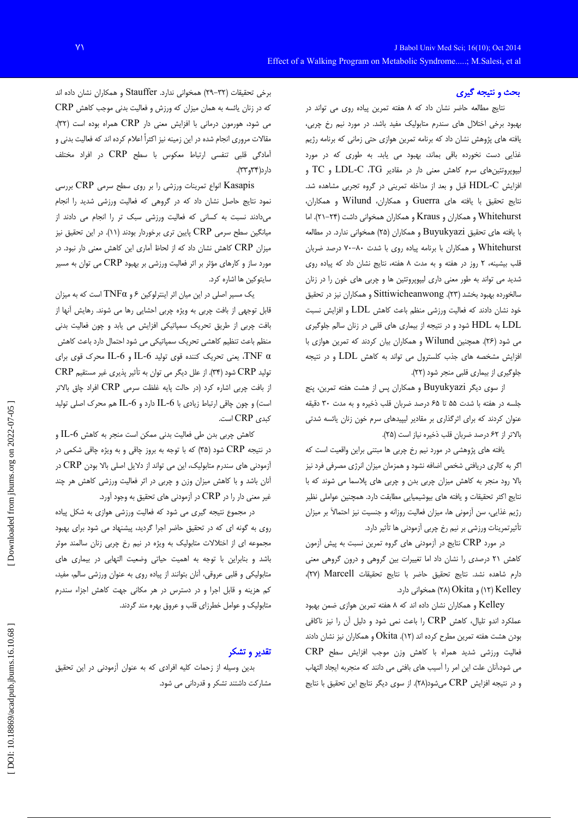#### بحث و نتیجه گیری

نتایج مطالعه حاضر نشان داد که ۸ هفته تمرین پیاده روی می تواند در بهبود برخی اختلال های سندرم متابولیک مفید باشد. در مورد نیم رخ چربی، یافته های پژوهش نشان داد که برنامه تمرین هوازی حتی زمانی که برنامه رژیم غذایی دست نخورده باقی بماند، بهبود می یابد. به طوری که در مورد لیپوپروتئینهای سرم کاهش معنی دار در مقادیر LDL-C ،TG و TC و افزایش HDL-C قبل و بعد از مداخله تمرینی در گروه تجربی مشاهده شد. نتايج تحقيق با يافته هاى Guerra و همكاران، Wilund و همكاران، Whitehurst و همكاران و Kraus و همكاران همخواني داشت (٢۴–٢١). اما با يافته هاى تحقيق Buyukyazi و همكاران (٢٥) همخوانى ندارد. در مطالعه Whitehurst و همکاران با برنامه پیاده روی با شدت ۰۸۰-۷۰ درصد ضربان قلب بیشینه، ۲ روز در هفته و به مدت ۸ هفته، نتایج نشان داد که پیاده روی شدید می تواند به طور معنی داری لیپوپروتئین ها و چربی های خون را در زنان سالخورده بهبود بخشد (۲۳). Sittiwicheanwong و همكاران نيز در تحقيق خود نشان دادند که فعالیت ورزشی منظم باعث کاهش LDL و افزایش نسبت LDL به HDL شود و در نتیجه از بیماری های قلبی در زنان سالم جلوگیری می شود (۲۶). همچنین Wilund و همکاران بیان کردند که تمرین هوازی با افزایش مشخصه های جذب کلسترول می تواند به کاهش LDL و در نتیجه جلوگیری از بیماری قلبی منجر شود (۲۲).

از سوی دیگر Buyukyazi و همکاران پس از هشت هفته تمرین، پنج جلسه در هفته با شدت ۵۵ تا ۶۵ درصد ضربان قلب ذخیره و به مدت ۳۰ دقیقه عنوان کردند که برای اثرگذاری بر مقادیر لیپیدهای سرم خون زنان یائسه شدتی بالاتر از ۶۲ درصد ضربان قلب ذخیره نیاز است (۲۵).

یافته های پژوهشی در مورد نیم رخ چربی ها مبتنی براین واقعیت است که اگر به کالری دریافتی شخص اضافه نشود و همزمان میزان انرژی مصرفی فرد نیز بالا رود منجر به کاهش میزان چربی بدن و چربی های پلاسما می شوند که با نتايج اكثر تحقيقات و يافته هاى بيوشيميايي مطابقت دارد. همچنين عواملي نظير رژیم غذایی، سن اّزمونی ها، میزان فعالیت روزانه و جنسیت نیز احتمالاً بر میزان تأثيرتمرينات ورزشي بر نيم رخ چربي آزمودني ها تأثير دارد.

در مورد CRP نتایج در آزمودنی های گروه تمرین نسبت به پیش آزمون کاهش ۲۱ درصدی را نشان داد اما تغییرات بین گروهی و درون گروهی معنی دارم شاهده نشد. نتايج تحقيق حاضر با نتايج تحقيقات Marcell (٢٧)، (١٢) (٢٨) و Ckita) (٢٨) همخواني دارد.

Kelley و همکاران نشان داده اند که ۸ هفته تمرین هوازی ضمن بهبود عملکرد اندو تلیال، کاهش CRP را باعث نمی شود و دلیل آن را نیز ناکافی بودن هشت هفته تمرين مطرح كرده اند (١٢). Okita و همكاران نيز نشان دادند فعالیت ورزشی شدید همراه با کاهش وزن موجب افزایش سطح CRP می شود،آنان علت این امر را آسیب های بافتی می دانند که منجربه ایجاد التهاب و در نتيجه افزايش CRP ميشود(٢٨). از سوى ديگر نتايج اين تحقيق با نتايج

برخی تحقیقات (٣٢-٢٩) همخوانی ندارد. Stauffer و همكاران نشان داده اند که در زنان یائسه به همان میزان که ورزش و فعالیت بدنی موجب کاهش CRP می شود، هورمون درمانی با افزایش معنی دار CRP همراه بوده است (۳۲). مقالات مروری انجام شده در این زمینه نیز اکثراً اعلام کرده اند که فعالیت بدنی و آمادگی قلبی تنفسی ارتباط معکوس با سطح CRP در افراد مختلف دارد(۳۴و۳۳).

Kasapis انواع تمرينات ورزشى را بر روى سطح سرمى CRP بررسى نمود نتایج حاصل نشان داد که در گروهی که فعالیت ورزشی شدید را انجام میدادند نسبت به کسانی که فعالیت ورزشی سبک تر را انجام می دادند از میانگین سطح سرمی CRP پایین تری برخوردار بودند (۱۱). در این تحقیق نیز میزان CRP کاهش نشان داد که از لحاظ آماری این کاهش معنی دار نبود. در مورد ساز و کارهای مؤثر بر اثر فعالیت ورزشی بر بهبود  $\text{CRP}$  می توان به مسیر سايتوكين ها اشاره كرد.

یک مسیر اصلی در این میان اثر اینترلوکین ۶ و TNFa است که به میزان قابل توجهی از بافت چربی به ویژه چربی احشایی رها می شوند. رهایش آنها از بافت چربی از طریق تحریک سمپاتیکی افزایش می یابد و چون فعالیت بدنی منظم باعث تنظیم کاهشی تحریک سمپاتیکی می شود احتمال دارد باعث کاهش TNF α. يعني تحريک کننده قوي توليد IL-6 و IL-6 محرک قوي براي تولید CRP شود (۳۴). از علل دیگر می توان به تأثیر پذیری غیر مستقیم CRP از بافت چربی اشاره کرد (در حالت پایه غلظت سرمی CRP افراد چاق بالاتر است) و چون چاقی ارتباط زیادی با IL-6 دارد و IL-6 هم محرک اصلی تولید کبدی CRP است.

كاهش چربي بدن طي فعاليت بدني ممكن است منجر به كاهش IL-6 و در نتیجه CRP شود (۳۵) که با توجه به بروز چاقی و به ویژه چاقی شکمی در آزمودنی های سندرم متابولیک، این می تواند از دلایل اصلی بالا بودن CRP در آنان باشد و با کاهش میزان وزن و چربی در اثر فعالیت ورزشی کاهش هر چند غیر معنی دار را در CRP در آزمودنی های تحقیق به وجود آورد.

در مجموع نتیجه گیری می شود که فعالیت ورزشی هوازی به شکل پیاده روی به گونه ای که در تحقیق حاضر اجرا گردید، پیشنهاد می شود برای بهبود مجموعه ای از اختلالات متابولیک به ویژه در نیم رخ چربی زنان سالمند موثر باشد و بنابراین با توجه به اهمیت حیاتی وضعیت التهابی در بیماری های متابولیکی و قلبی عروقی، آنان بتوانند از پیاده روی به عنوان ورزشی سالم، مفید، کم هزینه و قابل اجرا و در دسترس در هر مکانی جهت کاهش اجزاء سندرم متابولیک و عوامل خطرزای قلب و عروق بهره مند گردند.

## تقدير و تشكر

بدین وسیله از زحمات کلیه افرادی که به عنوان آزمودنی در این تحقیق مشارکت داشتند تشکر و قدردانی می شود.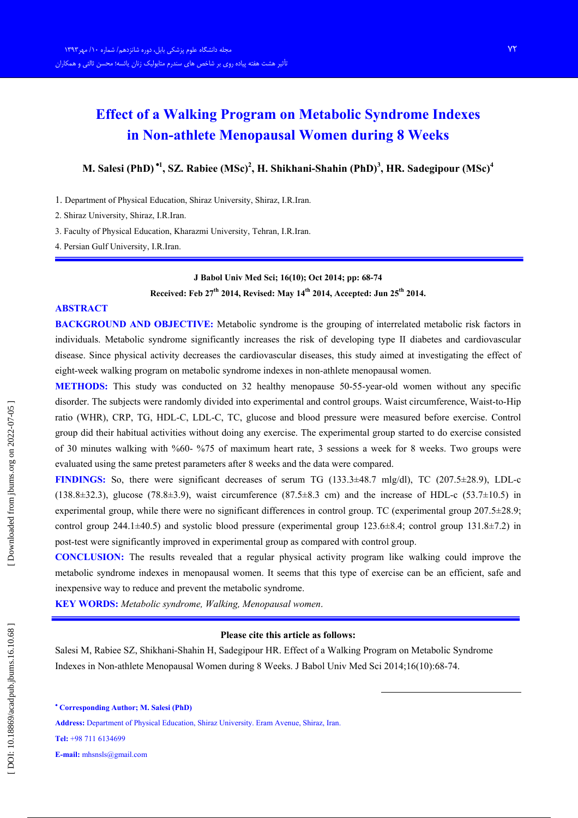# **Effect of a Walking Program on Metabolic Syndrome Indexes** in Non-athlete Menopausal Women during 8 Weeks

M. Salesi (PhD)<sup>\*1</sup>, SZ. Rabiee (MSc)<sup>2</sup>, H. Shikhani-Shahin (PhD)<sup>3</sup>, HR. Sadegipour (MSc)<sup>4</sup>

1. Department of Physical Education, Shiraz University, Shiraz, I.R.Iran.

2. Shiraz University, Shiraz, I.R.Iran.

3. Faculty of Physical Education, Kharazmi University, Tehran, I.R.Iran.

4. Persian Gulf University, I.R.Iran.

### J Babol Univ Med Sci; 16(10); Oct 2014; pp: 68-74

Received: Feb 27<sup>th</sup> 2014, Revised: May 14<sup>th</sup> 2014, Accepted: Jun 25<sup>th</sup> 2014.

#### **ABSTRACT**

**BACKGROUND AND OBJECTIVE:** Metabolic syndrome is the grouping of interrelated metabolic risk factors in individuals. Metabolic syndrome significantly increases the risk of developing type II diabetes and cardiovascular disease. Since physical activity decreases the cardiovascular diseases, this study aimed at investigating the effect of eight-week walking program on metabolic syndrome indexes in non-athlete menopausal women.

**METHODS:** This study was conducted on 32 healthy menopause 50-55-year-old women without any specific disorder. The subjects were randomly divided into experimental and control groups. Waist circumference, Waist-to-Hip ratio (WHR), CRP, TG, HDL-C, LDL-C, TC, glucose and blood pressure were measured before exercise. Control group did their habitual activities without doing any exercise. The experimental group started to do exercise consisted of 30 minutes walking with %60- %75 of maximum heart rate, 3 sessions a week for 8 weeks. Two groups were evaluated using the same pretest parameters after 8 weeks and the data were compared.

**FINDINGS:** So, there were significant decreases of serum TG (133.3±48.7 mlg/dl), TC (207.5±28.9), LDL-c  $(138.8\pm 32.3)$ , glucose  $(78.8\pm 3.9)$ , waist circumference  $(87.5\pm 8.3$  cm) and the increase of HDL-c  $(53.7\pm 10.5)$  in experimental group, while there were no significant differences in control group. TC (experimental group  $207.5\pm 28.9$ ) control group 244.1 $\pm$ 40.5) and systolic blood pressure (experimental group 123.6 $\pm$ 8.4; control group 131.8 $\pm$ 7.2) in post-test were significantly improved in experimental group as compared with control group.

**CONCLUSION:** The results revealed that a regular physical activity program like walking could improve the metabolic syndrome indexes in menopausal women. It seems that this type of exercise can be an efficient, safe and in expensive way to reduce and prevent the metabolic syndrome.

**KEY WORDS:** Metabolic syndrome, Walking, Menopausal women.

#### Please cite this article as follows:

Salesi M, Rabiee SZ, Shikhani-Shahin H, Sadegipour HR. Effect of a Walking Program on Metabolic Syndrome Indexes in Non-athlete Menopausal Women during 8 Weeks. J Babol Univ Med Sci 2014;16(10):68-74.

Address: Department of Physical Education, Shiraz University, Eram Avenue, Shiraz, Iran.

Tel: +98 711 6134699

E-mail:  $mhsnls@gmail.com$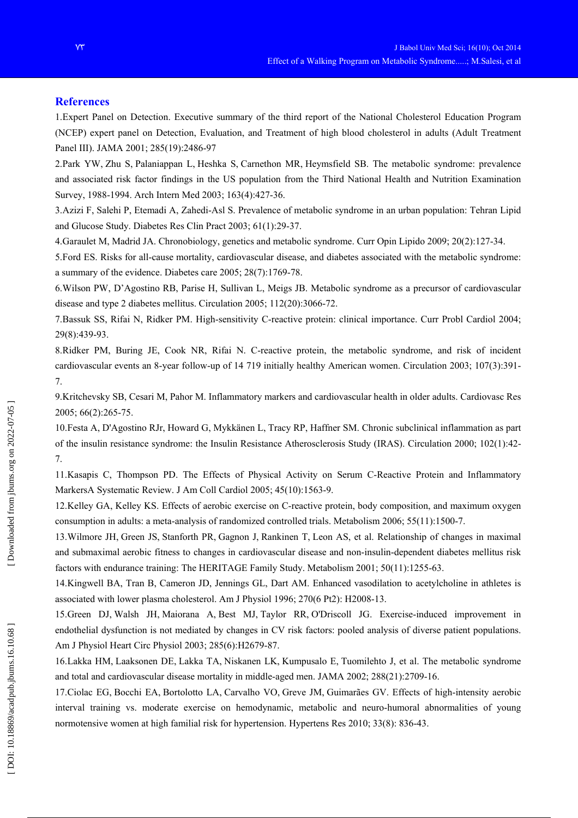## **References**

1. Expert Panel on Detection. Executive summary of the third report of the National Cholesterol Education Program (NCEP) expert panel on Detection, Evaluation, and Treatment of high blood cholesterol in adults (Adult Treatment Panel III). JAMA 2001; 285(19):2486-97

2.Park YW, Zhu S, Palaniappan L, Heshka S, Carnethon MR, Heymsfield SB. The metabolic syndrome: prevalence and associated risk factor findings in the US population from the Third National Health and Nutrition Examination Survey, 1988-1994. Arch Intern Med 2003; 163(4):427-36.

3. Azizi F, Salehi P, Etemadi A, Zahedi-Asl S. Prevalence of metabolic syndrome in an urban population: Tehran Lipid and Glucose Study. Diabetes Res Clin Pract 2003; 61(1):29-37.

4. Garaulet M, Madrid JA. Chronobiology, genetics and metabolic syndrome. Curr Opin Lipido 2009; 20(2):127-34.

5. Ford ES. Risks for all-cause mortality, cardiovascular disease, and diabetes associated with the metabolic syndrome: a summary of the evidence. Diabetes care 2005; 28(7):1769-78.

6. Wilson PW, D'Agostino RB, Parise H, Sullivan L, Meigs JB. Metabolic syndrome as a precursor of cardiovascular disease and type 2 diabetes mellitus. Circulation  $2005$ ;  $112(20)$ :  $3066-72$ .

7. Bassuk SS, Rifai N, Ridker PM. High-sensitivity C-reactive protein: clinical importance. Curr Probl Cardiol 2004; 29(8):439-93.

8. Ridker PM, Buring JE, Cook NR, Rifai N. C-reactive protein, the metabolic syndrome, and risk of incident cardiovascular events an 8-year follow-up of 14 719 initially healthy American women. Circulation 2003; 107(3):391- $7.$ 

9. Kritchevsky SB, Cesari M, Pahor M. Inflammatory markers and cardiovascular health in older adults. Cardiovasc Res 2005: 66(2):265-75.

10. Festa A, D'Agostino RJr, Howard G, Mykkänen L, Tracy RP, Haffner SM. Chronic subclinical inflammation as part of the insulin resistance syndrome: the Insulin Resistance Atherosclerosis Study (IRAS). Circulation 2000: 102(1):42-7.

11. Kasapis C, Thompson PD. The Effects of Physical Activity on Serum C-Reactive Protein and Inflammatory MarkersA Systematic Review. J Am Coll Cardiol 2005; 45(10):1563-9.

12. Kelley GA, Kelley KS. Effects of aerobic exercise on C-reactive protein, body composition, and maximum oxygen consumption in adults: a meta-analysis of randomized controlled trials. Metabolism 2006; 55(11):1500-7.

13. Wilmore JH, Green JS, Stanforth PR, Gagnon J, Rankinen T, Leon AS, et al. Relationship of changes in maximal and submaximal aerobic fitness to changes in cardiovascular disease and non-insulin-dependent diabetes mellitus risk factors with endurance training: The HERITAGE Family Study. Metabolism 2001; 50(11):1255-63.

14. Kingwell BA, Tran B, Cameron JD, Jennings GL, Dart AM, Enhanced vasodilation to acetylcholine in athletes is associated with lower plasma cholesterol. Am J Physiol 1996; 270(6 Pt2): H2008-13.

15. Green DJ, Walsh JH, Maiorana A, Best MJ, Taylor RR, O'Driscoll JG. Exercise-induced improvement in endothelial dysfunction is not mediated by changes in CV risk factors: pooled analysis of diverse patient populations. Am J Physiol Heart Circ Physiol 2003; 285(6):H2679-87.

16. Lakka HM, Laaksonen DE, Lakka TA, Niskanen LK, Kumpusalo E, Tuomilehto J, et al. The metabolic syndrome and total and cardiovascular disease mortality in middle-aged men. JAMA 2002: 288(21):2709-16.

17. Ciolac EG, Bocchi EA, Bortolotto LA, Carvalho VO, Greve JM, Guimarães GV. Effects of high-intensity aerobic interval training vs. moderate exercise on hemodynamic, metabolic and neuro-humoral abnormalities of young normotensive women at high familial risk for hypertension. Hypertens Res 2010; 33(8): 836-43.